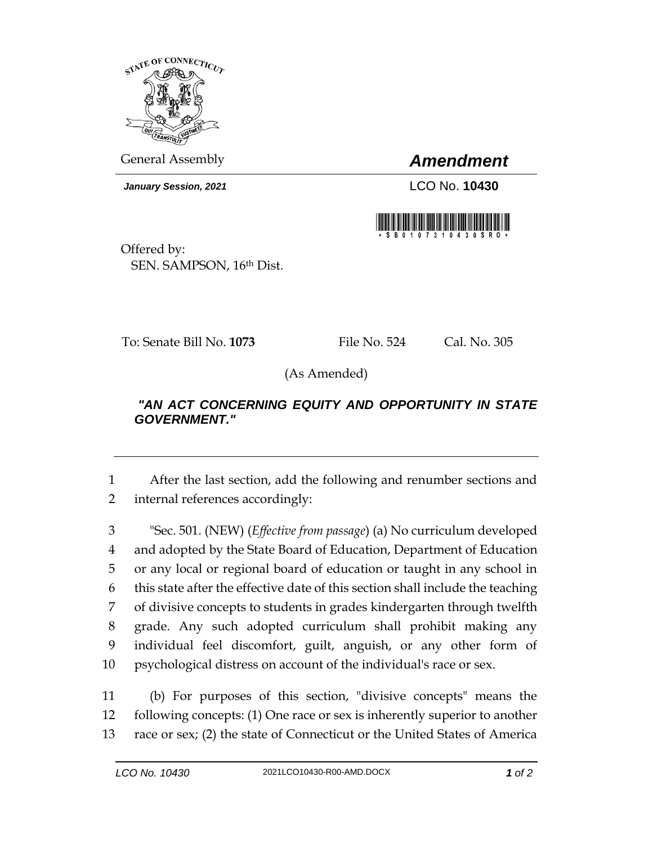

General Assembly *Amendment*

*January Session, 2021* LCO No. **10430**



Offered by: SEN. SAMPSON, 16th Dist.

To: Senate Bill No. **1073** File No. 524 Cal. No. 305

(As Amended)

## *"AN ACT CONCERNING EQUITY AND OPPORTUNITY IN STATE GOVERNMENT."*

1 After the last section, add the following and renumber sections and 2 internal references accordingly:

 "Sec. 501. (NEW) (*Effective from passage*) (a) No curriculum developed and adopted by the State Board of Education, Department of Education or any local or regional board of education or taught in any school in this state after the effective date of this section shall include the teaching of divisive concepts to students in grades kindergarten through twelfth grade. Any such adopted curriculum shall prohibit making any individual feel discomfort, guilt, anguish, or any other form of psychological distress on account of the individual's race or sex.

11 (b) For purposes of this section, "divisive concepts" means the 12 following concepts: (1) One race or sex is inherently superior to another 13 race or sex; (2) the state of Connecticut or the United States of America